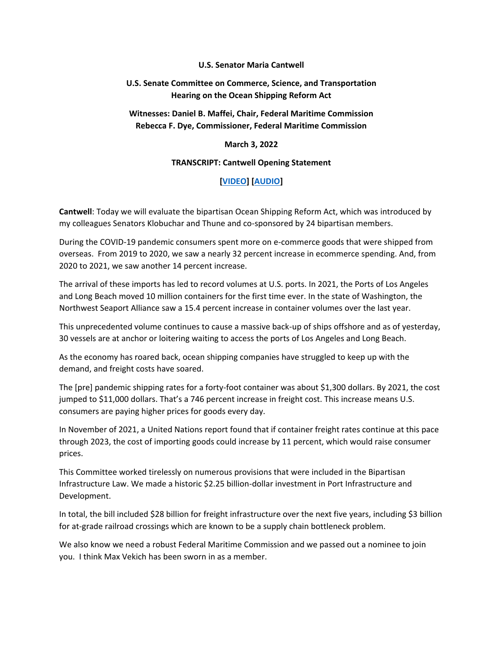### **U.S. Senator Maria Cantwell**

# **U.S. Senate Committee on Commerce, Science, and Transportation Hearing on the Ocean Shipping Reform Act**

# **Witnesses: Daniel B. Maffei, Chair, Federal Maritime Commission Rebecca F. Dye, Commissioner, Federal Maritime Commission**

### **March 3, 2022**

### **TRANSCRIPT: Cantwell Opening Statement**

# **[\[VIDEO\]](https://www.cantwell.senate.gov/imo/media/video/03032022%20Commerce%20Opening%20Statement.mp4) [\[AUDIO\]](https://www.cantwell.senate.gov/download/03032022-opening-statement-audio)**

**Cantwell**: Today we will evaluate the bipartisan Ocean Shipping Reform Act, which was introduced by my colleagues Senators Klobuchar and Thune and co-sponsored by 24 bipartisan members.

During the COVID-19 pandemic consumers spent more on e-commerce goods that were shipped from overseas.  From 2019 to 2020, we saw a nearly 32 percent increase in ecommerce spending. And, from 2020 to 2021, we saw another 14 percent increase. 

The arrival of these imports has led to record volumes at U.S. ports. In 2021, the Ports of Los Angeles and Long Beach moved 10 million containers for the first time ever. In the state of Washington, the Northwest Seaport Alliance saw a 15.4 percent increase in container volumes over the last year.

This unprecedented volume continues to cause a massive back-up of ships offshore and as of yesterday, 30 vessels are at anchor or loitering waiting to access the ports of Los Angeles and Long Beach.

As the economy has roared back, ocean shipping companies have struggled to keep up with the demand, and freight costs have soared.

The [pre] pandemic shipping rates for a forty-foot container was about \$1,300 dollars. By 2021, the cost jumped to \$11,000 dollars. That's a 746 percent increase in freight cost. This increase means U.S. consumers are paying higher prices for goods every day.

In November of 2021, a United Nations report found that if container freight rates continue at this pace through 2023, the cost of importing goods could increase by 11 percent, which would raise consumer prices.

This Committee worked tirelessly on numerous provisions that were included in the Bipartisan Infrastructure Law. We made a historic \$2.25 billion-dollar investment in Port Infrastructure and Development. 

In total, the bill included \$28 billion for freight infrastructure over the next five years, including \$3 billion for at-grade railroad crossings which are known to be a supply chain bottleneck problem.

We also know we need a robust Federal Maritime Commission and we passed out a nominee to join you.  I think Max Vekich has been sworn in as a member.